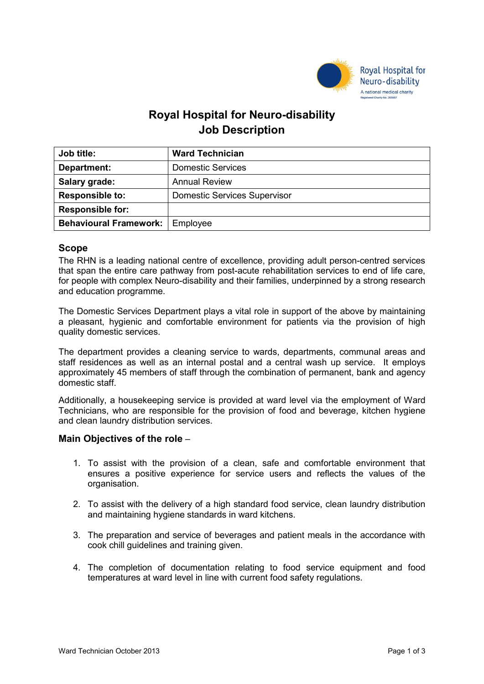

# **Royal Hospital for Neuro-disability Job Description**

| <b>Job title:</b>                        | <b>Ward Technician</b>              |
|------------------------------------------|-------------------------------------|
| Department:                              | <b>Domestic Services</b>            |
| Salary grade:                            | <b>Annual Review</b>                |
| <b>Responsible to:</b>                   | <b>Domestic Services Supervisor</b> |
| <b>Responsible for:</b>                  |                                     |
| <b>Behavioural Framework:</b>   Employee |                                     |

# **Scope**

The RHN is a leading national centre of excellence, providing adult person-centred services that span the entire care pathway from post-acute rehabilitation services to end of life care, for people with complex Neuro-disability and their families, underpinned by a strong research and education programme.

The Domestic Services Department plays a vital role in support of the above by maintaining a pleasant, hygienic and comfortable environment for patients via the provision of high quality domestic services.

The department provides a cleaning service to wards, departments, communal areas and staff residences as well as an internal postal and a central wash up service. It employs approximately 45 members of staff through the combination of permanent, bank and agency domestic staff.

Additionally, a housekeeping service is provided at ward level via the employment of Ward Technicians, who are responsible for the provision of food and beverage, kitchen hygiene and clean laundry distribution services.

# **Main Objectives of the role** –

- 1. To assist with the provision of a clean, safe and comfortable environment that ensures a positive experience for service users and reflects the values of the organisation.
- 2. To assist with the delivery of a high standard food service, clean laundry distribution and maintaining hygiene standards in ward kitchens.
- 3. The preparation and service of beverages and patient meals in the accordance with cook chill guidelines and training given.
- 4. The completion of documentation relating to food service equipment and food temperatures at ward level in line with current food safety regulations.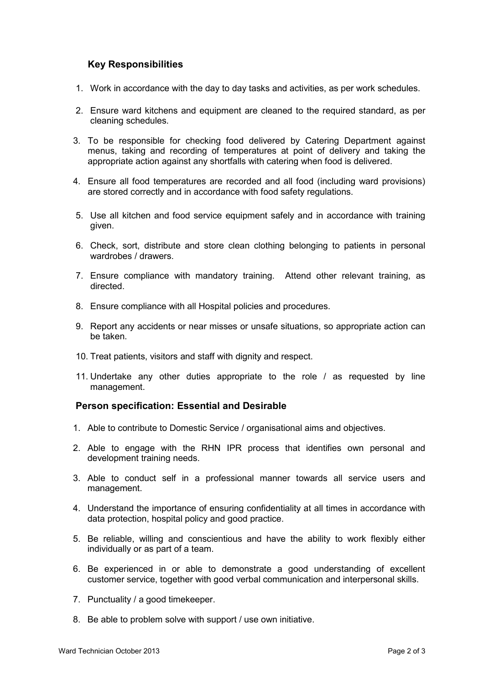# **Key Responsibilities**

- 1. Work in accordance with the day to day tasks and activities, as per work schedules.
- 2. Ensure ward kitchens and equipment are cleaned to the required standard, as per cleaning schedules.
- 3. To be responsible for checking food delivered by Catering Department against menus, taking and recording of temperatures at point of delivery and taking the appropriate action against any shortfalls with catering when food is delivered.
- 4. Ensure all food temperatures are recorded and all food (including ward provisions) are stored correctly and in accordance with food safety regulations.
- 5. Use all kitchen and food service equipment safely and in accordance with training given.
- 6. Check, sort, distribute and store clean clothing belonging to patients in personal wardrobes / drawers
- 7. Ensure compliance with mandatory training. Attend other relevant training, as directed.
- 8. Ensure compliance with all Hospital policies and procedures.
- 9. Report any accidents or near misses or unsafe situations, so appropriate action can be taken.
- 10. Treat patients, visitors and staff with dignity and respect.
- 11. Undertake any other duties appropriate to the role / as requested by line management.

# **Person specification: Essential and Desirable**

- 1. Able to contribute to Domestic Service / organisational aims and objectives.
- 2. Able to engage with the RHN IPR process that identifies own personal and development training needs.
- 3. Able to conduct self in a professional manner towards all service users and management.
- 4. Understand the importance of ensuring confidentiality at all times in accordance with data protection, hospital policy and good practice.
- 5. Be reliable, willing and conscientious and have the ability to work flexibly either individually or as part of a team.
- 6. Be experienced in or able to demonstrate a good understanding of excellent customer service, together with good verbal communication and interpersonal skills.
- 7. Punctuality / a good timekeeper.
- 8. Be able to problem solve with support / use own initiative.